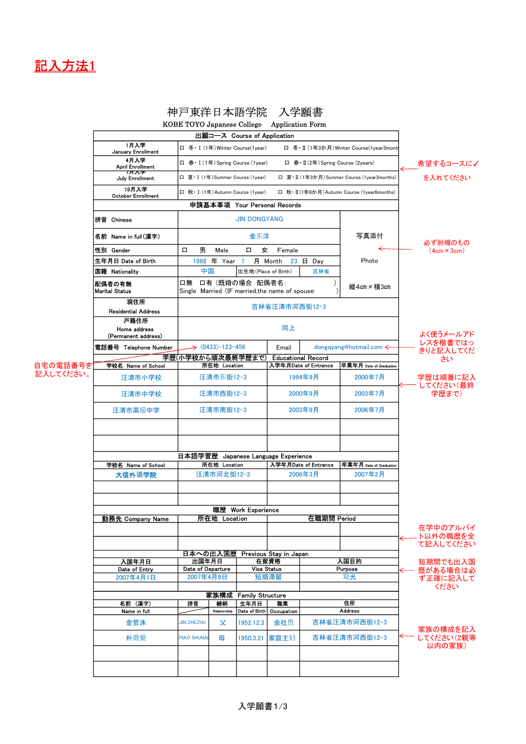

# 神戸東洋日本語学院 入学願書

|           | KOBE TOYO Japanese College Application Form |                                                                                        |                              |                                   |                                   |                           |                                            |                        |
|-----------|---------------------------------------------|----------------------------------------------------------------------------------------|------------------------------|-----------------------------------|-----------------------------------|---------------------------|--------------------------------------------|------------------------|
|           | 出願コース Course of Application                 |                                                                                        |                              |                                   |                                   |                           |                                            |                        |
|           | 1月入学<br>January Enrollment                  | 口 冬· I (1年) Winter Course(1year)<br>□ 冬·Ⅱ (1年3か月) Winter Course(1year3mont             |                              |                                   |                                   |                           |                                            |                        |
|           | 4月入学<br><b>April Enrollment</b>             | 口 春· I (1年) Spring Course (1year)<br>口 春· II (2年) Spring Course (2years)               |                              |                                   | 希望するコースに✔                         |                           |                                            |                        |
|           | 历入于<br>July Enrollment                      |                                                                                        |                              | 口 夏· I (1年) Summer Course (1year) |                                   |                           | □ 夏·Ⅱ (1年3か月) Summer Course (1year3months) | を入れてください               |
|           | 10月入学<br><b>October Enrollment</b>          | 口 秋· I (1年) Autumn Course (1year)<br>口 秋· II (1年6か月) Autumn Course (1year6months)      |                              |                                   |                                   |                           |                                            |                        |
|           | 申請基本事項 Your Personal Records                |                                                                                        |                              |                                   |                                   |                           |                                            |                        |
|           | 拼音 Chinese                                  | <b>JIN DONGYANG</b>                                                                    |                              |                                   |                                   |                           |                                            |                        |
|           | 名前 Name in full(漢字)                         | 金东洋                                                                                    |                              |                                   |                                   |                           | 写真添付                                       | 必ず脱帽のもの                |
|           | 性別 Gender                                   | 男<br>口                                                                                 | Male                         | 口<br>女                            | Female                            |                           |                                            | $(4cm \times 3cm)$     |
|           | 生年月日 Date of Birth                          | 1988                                                                                   | 年 Year                       | 1                                 | 月 Month                           | $23$ 日 Day                | Photo                                      |                        |
|           | 国籍 Nationality                              | 中国                                                                                     |                              | 出生地(Place of Birth)               |                                   | 吉林省                       |                                            |                        |
|           | 配偶者の有無<br><b>Marital Status</b>             | 口無 口有 (既婚の場合 配偶者名:<br>$\mathcal{E}$<br>Single Married (IF married, the name of spouse: |                              |                                   |                                   | 縦4㎝×横3㎝                   |                                            |                        |
|           | 現住所                                         |                                                                                        |                              |                                   | 吉林省汪清市河西街12-3                     |                           |                                            |                        |
|           | <b>Residential Address</b>                  |                                                                                        |                              |                                   |                                   |                           |                                            |                        |
|           | 戸籍住所<br>Home address<br>(Permanent address) | 同上                                                                                     |                              |                                   |                                   |                           | よく使うメールアド                                  |                        |
|           | 電話番号 Telephone Number                       |                                                                                        | $\rightarrow$ (0433)-123-456 |                                   | Email                             |                           | dongqyang@hotmail.com <                    | レスを楷書ではっ               |
|           |                                             | 学歴(小学校から順次最終学歴まで)                                                                      |                              |                                   |                                   | <b>Educational Record</b> |                                            | きりと記入してくだ              |
| 自宅の電話番号を  | 学校名 Name of School                          |                                                                                        | 所在地 Location                 |                                   |                                   | 入学年月Date of Entrance      | 卒業年月 Date of Graduation                    | さい                     |
| 記入してください。 | 汪清市小学校                                      |                                                                                        |                              |                                   |                                   | 1994年9月                   | 2000年7月                                    | 学歴は順番に記入               |
|           |                                             | 汪清市东街12-3<br>汪清市西街12-3                                                                 |                              |                                   |                                   |                           | 2003年7月                                    | してください(最終              |
|           | 汪清市中学校                                      |                                                                                        |                              |                                   | 2000年9月                           |                           |                                            | 学歴まで)                  |
|           | 汪清市高级中学                                     | 汪清市南街12-3                                                                              |                              |                                   | 2003年9月                           |                           | 2006年7月                                    |                        |
|           |                                             | 日本語学習歷 Japanese Language Experience                                                    |                              |                                   |                                   |                           |                                            |                        |
|           | 学校名 Name of School                          |                                                                                        | 所在地 Location                 |                                   |                                   |                           | 卒業年月 Date of Graduation                    |                        |
|           | 大信外语学院                                      |                                                                                        |                              |                                   | 入学年月Date of Entrance              |                           | 2007年2月                                    |                        |
|           |                                             | 汪清市河北街12-3                                                                             |                              |                                   | 2006年3月                           |                           |                                            |                        |
|           |                                             |                                                                                        |                              |                                   |                                   |                           |                                            |                        |
|           | 勤務先 Company Name                            |                                                                                        | 所在地 Location                 | 職歴 Work Experience                | 在職期間 Period                       |                           |                                            |                        |
|           |                                             |                                                                                        |                              |                                   |                                   |                           |                                            | 在学中のアルバイ<br>ト以外の職歴を全   |
|           |                                             |                                                                                        |                              |                                   |                                   |                           |                                            | て記入してください              |
|           | 日本への出入国歴<br>Previous Stay in Japan          |                                                                                        |                              |                                   |                                   |                           |                                            |                        |
|           | 入国年月日<br>Date of Entry                      | 出国年月日<br>Date of Departure                                                             |                              | 在留資格<br><b>Visa Status</b>        |                                   | 入国目的<br>Purpose           |                                            | 短期間でも出入国<br>歴がある場合は必   |
|           | 2007年4月1日                                   | 2007年4月9日                                                                              |                              |                                   | 短期滞留                              |                           | 观光                                         | ず正確に記入して               |
|           |                                             |                                                                                        |                              |                                   |                                   |                           |                                            | ください                   |
|           | 家族構成<br><b>Family Structure</b>             |                                                                                        |                              |                                   |                                   |                           |                                            |                        |
|           | 名前(漢字)                                      | 拼音                                                                                     | 続柄                           | 生年月日                              | 職業                                |                           | 住所                                         |                        |
|           | Name in full<br>金哲洙                         | <b>JIN ZHEZHU</b>                                                                      | Relationship<br>父            | 1952.12.3                         | Date of Birth   Occupation<br>会社员 |                           | <b>Address</b><br>吉林省汪清市河西街12-3            |                        |
|           | 朴顺爱                                         | <b>PIAO SHUNAI</b>                                                                     | 母                            | 1950.3.21                         | 家庭主妇                              |                           | 吉林省汪清市河西街12-3                              | 家族の構成を記入<br>してください(2親等 |
|           |                                             |                                                                                        |                              |                                   |                                   |                           |                                            | 以内の家族)                 |
|           |                                             |                                                                                        |                              |                                   |                                   |                           |                                            |                        |
|           |                                             |                                                                                        |                              |                                   |                                   |                           |                                            |                        |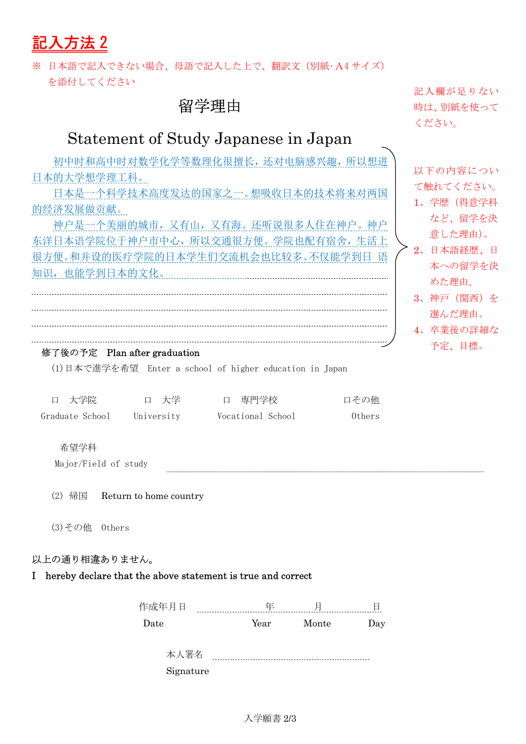記入方法 2

※ 日本語で記入できない場合、母語で記入した上で、翻訳文(別紙•A4 サイズ) を添付してください

### 留学理由

# Statement of Study Japanese in Japan

初中时和高中时对数学化学等数理化很擅长,还对电脑感兴趣,所以想进 日本的大学想学理工科。

日本是一个科学技术高度发达的国家之一。想吸收日本的技术将来对两国 的经济发展做贡献。

神户是一个美丽的城市,又有山,又有海。还听说很多人住在神户。神户 东洋日本语学院位于神户市中心,所以交通很方便。学院也配有宿舍,生活上 很方便。和并设的医疗学院的日本学生们交流机会也比较多。不仅能学到日 语 知识,也能学到日本的文化。

#### 修了後の予定 Plan after graduation

(1)日本で進学を希望 Enter a school of higher education in Japan

| 口 大学院           | ロ 大学       | ロー専門学校            | 口その他   |
|-----------------|------------|-------------------|--------|
| Graduate School | University | Vocational School | Others |

希望学科

Major/Field of study

(2) 帰国 Return to home country

(3)その他 Others

#### 以上の通り相違ありません。

### I hereby declare that the above statement is true and correct

| ∽    | $- - -$ |      |       |     |
|------|---------|------|-------|-----|
| Jate |         | Year | Monte | ٠., |

本人署名 Signature

記入欄が足りない 時は、別紙を使って ください。

以下の内容につい て触れてください。

- 1、学歴(得意学科 など、留学を決 意した理由)。
- 2、日本語経歴、日 本への留学を決 めた理由。
	- 3、神戸(関西)を 選んだ理由。
- 4、卒業後の詳細な 予定、目標。